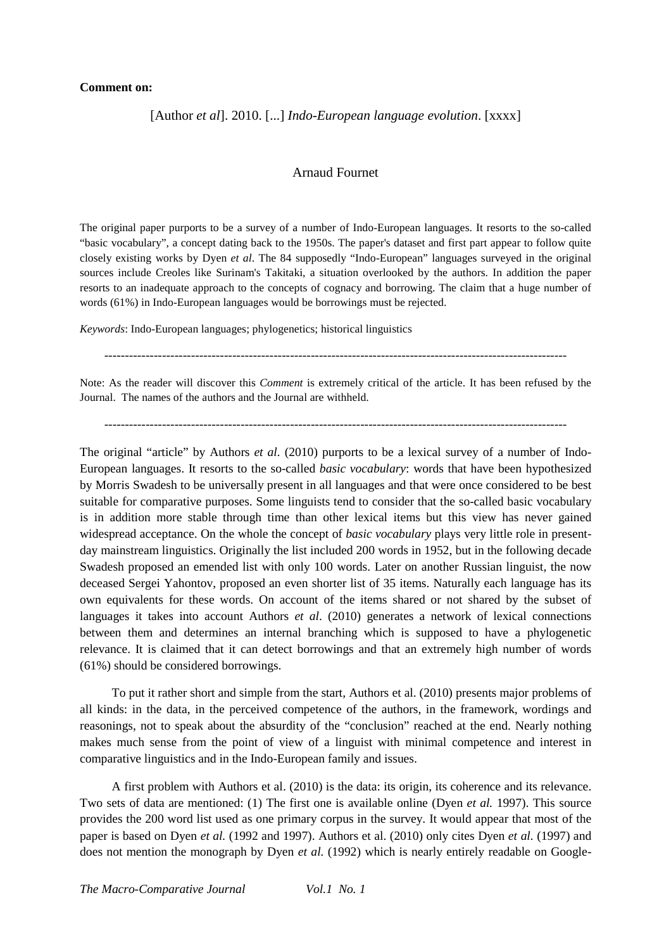## **Comment on:**

[Author *et al*]. 2010. [...] *Indo-European language evolution*. [xxxx]

## Arnaud Fournet

The original paper purports to be a survey of a number of Indo-European languages. It resorts to the so-called "basic vocabulary", a concept dating back to the 1950s. The paper's dataset and first part appear to follow quite closely existing works by Dyen *et al*. The 84 supposedly "Indo-European" languages surveyed in the original sources include Creoles like Surinam's Takitaki, a situation overlooked by the authors. In addition the paper resorts to an inadequate approach to the concepts of cognacy and borrowing. The claim that a huge number of words (61%) in Indo-European languages would be borrowings must be rejected.

*Keywords*: Indo-European languages; phylogenetics; historical linguistics

----------------------------------------------------------------------------------------------------------------

Note: As the reader will discover this *Comment* is extremely critical of the article. It has been refused by the Journal. The names of the authors and the Journal are withheld.

----------------------------------------------------------------------------------------------------------------

The original "article" by Authors *et al.* (2010) purports to be a lexical survey of a number of Indo-European languages. It resorts to the so-called *basic vocabulary*: words that have been hypothesized by Morris Swadesh to be universally present in all languages and that were once considered to be best suitable for comparative purposes. Some linguists tend to consider that the so-called basic vocabulary is in addition more stable through time than other lexical items but this view has never gained widespread acceptance. On the whole the concept of *basic vocabulary* plays very little role in presentday mainstream linguistics. Originally the list included 200 words in 1952, but in the following decade Swadesh proposed an emended list with only 100 words. Later on another Russian linguist, the now deceased Sergei Yahontov, proposed an even shorter list of 35 items. Naturally each language has its own equivalents for these words. On account of the items shared or not shared by the subset of languages it takes into account Authors *et al*. (2010) generates a network of lexical connections between them and determines an internal branching which is supposed to have a phylogenetic relevance. It is claimed that it can detect borrowings and that an extremely high number of words (61%) should be considered borrowings.

To put it rather short and simple from the start, Authors et al. (2010) presents major problems of all kinds: in the data, in the perceived competence of the authors, in the framework, wordings and reasonings, not to speak about the absurdity of the "conclusion" reached at the end. Nearly nothing makes much sense from the point of view of a linguist with minimal competence and interest in comparative linguistics and in the Indo-European family and issues.

A first problem with Authors et al. (2010) is the data: its origin, its coherence and its relevance. Two sets of data are mentioned: (1) The first one is available online (Dyen *et al.* 1997). This source provides the 200 word list used as one primary corpus in the survey. It would appear that most of the paper is based on Dyen *et al.* (1992 and 1997). Authors et al. (2010) only cites Dyen *et al.* (1997) and does not mention the monograph by Dyen *et al.* (1992) which is nearly entirely readable on Google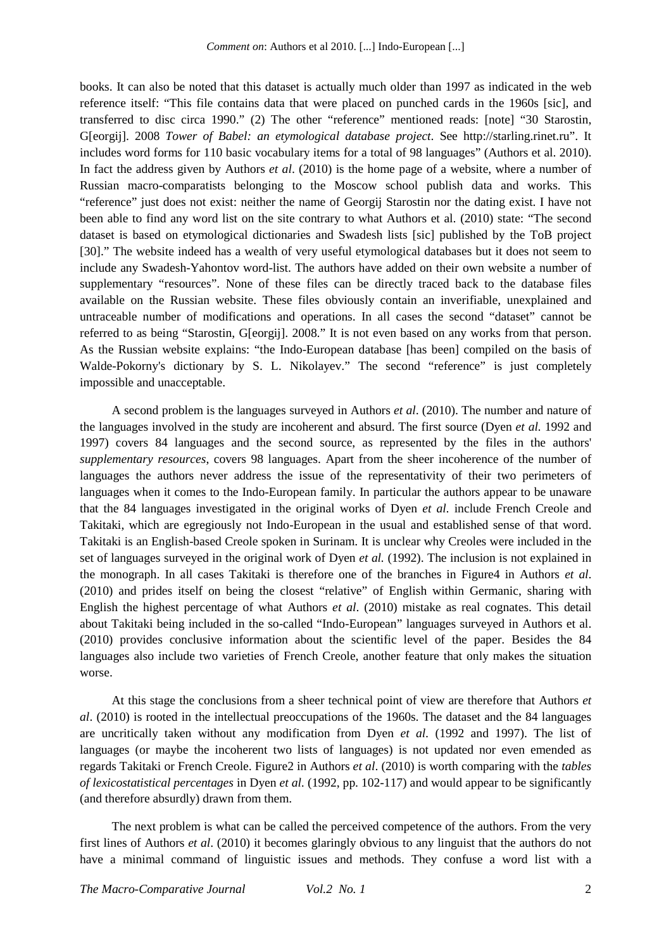books. It can also be noted that this dataset is actually much older than 1997 as indicated in the web reference itself: "This file contains data that were placed on punched cards in the 1960s [sic], and transferred to disc circa 1990." (2) The other "reference" mentioned reads: [note] "30 Starostin, G[eorgij]. 2008 *Tower of Babel: an etymological database project*. See http://starling.rinet.ru". It includes word forms for 110 basic vocabulary items for a total of 98 languages" (Authors et al. 2010). In fact the address given by Authors *et al*. (2010) is the home page of a website, where a number of Russian macro-comparatists belonging to the Moscow school publish data and works. This "reference" just does not exist: neither the name of Georgij Starostin nor the dating exist. I have not been able to find any word list on the site contrary to what Authors et al. (2010) state: "The second dataset is based on etymological dictionaries and Swadesh lists [sic] published by the ToB project [30]." The website indeed has a wealth of very useful etymological databases but it does not seem to include any Swadesh-Yahontov word-list. The authors have added on their own website a number of supplementary "resources". None of these files can be directly traced back to the database files available on the Russian website. These files obviously contain an inverifiable, unexplained and untraceable number of modifications and operations. In all cases the second "dataset" cannot be referred to as being "Starostin, G[eorgij]. 2008." It is not even based on any works from that person. As the Russian website explains: "the Indo-European database [has been] compiled on the basis of Walde-Pokorny's dictionary by S. L. Nikolayev." The second "reference" is just completely impossible and unacceptable.

A second problem is the languages surveyed in Authors *et al*. (2010). The number and nature of the languages involved in the study are incoherent and absurd. The first source (Dyen *et al.* 1992 and 1997) covers 84 languages and the second source, as represented by the files in the authors' *supplementary resources*, covers 98 languages. Apart from the sheer incoherence of the number of languages the authors never address the issue of the representativity of their two perimeters of languages when it comes to the Indo-European family. In particular the authors appear to be unaware that the 84 languages investigated in the original works of Dyen *et al.* include French Creole and Takitaki, which are egregiously not Indo-European in the usual and established sense of that word. Takitaki is an English-based Creole spoken in Surinam. It is unclear why Creoles were included in the set of languages surveyed in the original work of Dyen *et al.* (1992). The inclusion is not explained in the monograph. In all cases Takitaki is therefore one of the branches in Figure4 in Authors *et al*. (2010) and prides itself on being the closest "relative" of English within Germanic, sharing with English the highest percentage of what Authors *et al*. (2010) mistake as real cognates. This detail about Takitaki being included in the so-called "Indo-European" languages surveyed in Authors et al. (2010) provides conclusive information about the scientific level of the paper. Besides the 84 languages also include two varieties of French Creole, another feature that only makes the situation worse.

At this stage the conclusions from a sheer technical point of view are therefore that Authors *et al*. (2010) is rooted in the intellectual preoccupations of the 1960s. The dataset and the 84 languages are uncritically taken without any modification from Dyen *et al.* (1992 and 1997). The list of languages (or maybe the incoherent two lists of languages) is not updated nor even emended as regards Takitaki or French Creole. Figure2 in Authors *et al*. (2010) is worth comparing with the *tables of lexicostatistical percentages* in Dyen *et al.* (1992, pp. 102-117) and would appear to be significantly (and therefore absurdly) drawn from them.

The next problem is what can be called the perceived competence of the authors. From the very first lines of Authors *et al*. (2010) it becomes glaringly obvious to any linguist that the authors do not have a minimal command of linguistic issues and methods. They confuse a word list with a